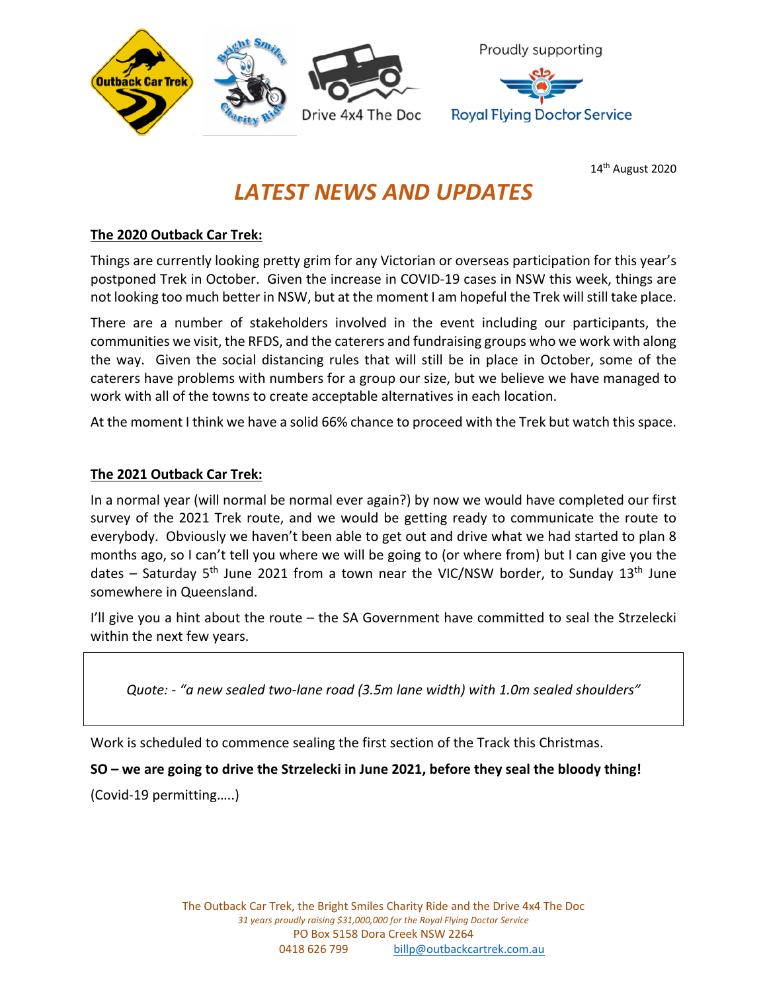

Proudly supporting

**Royal Flying Doctor Service** 

14th August 2020

# *LATEST NEWS AND UPDATES*

# **The 2020 Outback Car Trek:**

Things are currently looking pretty grim for any Victorian or overseas participation for this year's postponed Trek in October. Given the increase in COVID-19 cases in NSW this week, things are not looking too much better in NSW, but at the moment I am hopeful the Trek will still take place.

There are a number of stakeholders involved in the event including our participants, the communities we visit, the RFDS, and the caterers and fundraising groups who we work with along the way. Given the social distancing rules that will still be in place in October, some of the caterers have problems with numbers for a group our size, but we believe we have managed to work with all of the towns to create acceptable alternatives in each location.

At the moment I think we have a solid 66% chance to proceed with the Trek but watch this space.

### **The 2021 Outback Car Trek:**

In a normal year (will normal be normal ever again?) by now we would have completed our first survey of the 2021 Trek route, and we would be getting ready to communicate the route to everybody. Obviously we haven't been able to get out and drive what we had started to plan 8 months ago, so I can't tell you where we will be going to (or where from) but I can give you the dates – Saturday 5<sup>th</sup> June 2021 from a town near the VIC/NSW border, to Sunday 13<sup>th</sup> June somewhere in Queensland.

I'll give you a hint about the route – the SA Government have committed to seal the Strzelecki within the next few years.

*Quote: - "a new sealed two-lane road (3.5m lane width) with 1.0m sealed shoulders"*

Work is scheduled to commence sealing the first section of the Track this Christmas.

## **SO – we are going to drive the Strzelecki in June 2021, before they seal the bloody thing!**

(Covid-19 permitting…..)